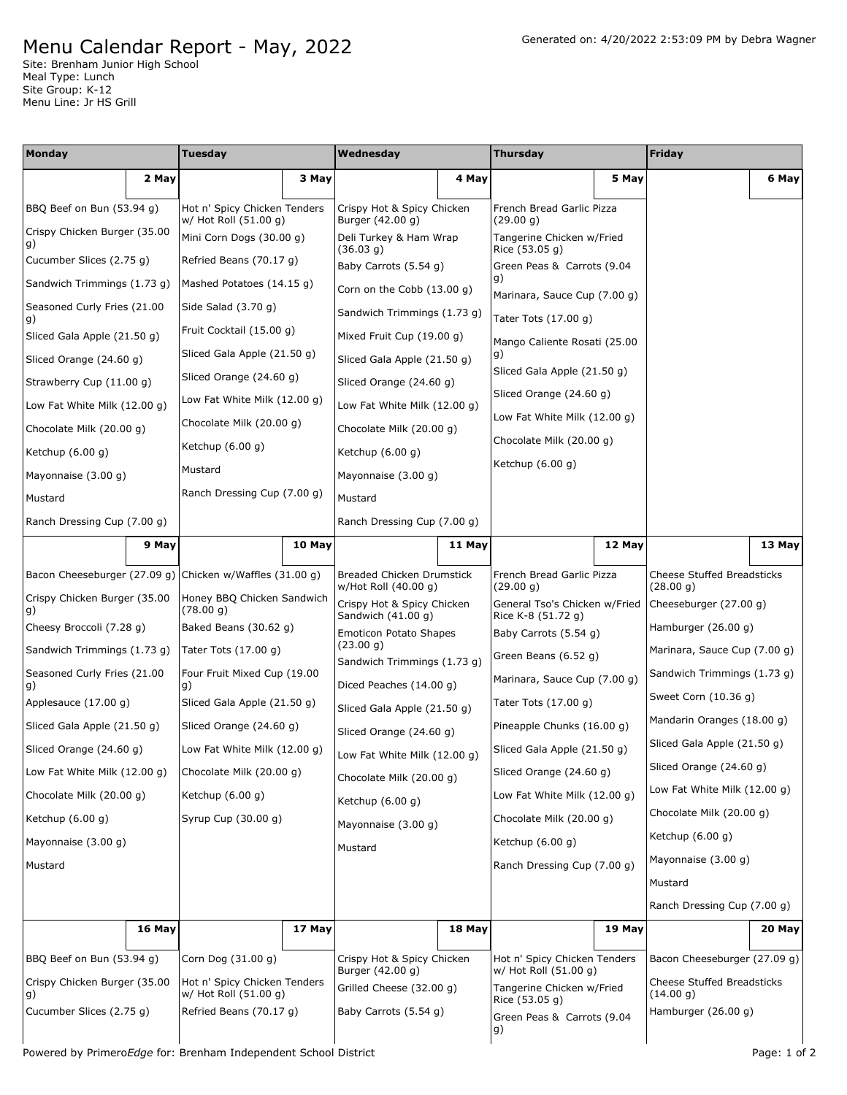## Menu Calendar Report - May, 2022

Site: Brenham Junior High School Meal Type: Lunch Site Group: K-12 Menu Line: Jr HS Grill

| <b>Monday</b>                      |                             | Tuesday                                               |                              | Wednesday                                                |                              | <b>Thursday</b>                                       |                              | <b>Friday</b>                                  |                             |  |
|------------------------------------|-----------------------------|-------------------------------------------------------|------------------------------|----------------------------------------------------------|------------------------------|-------------------------------------------------------|------------------------------|------------------------------------------------|-----------------------------|--|
|                                    | 2 May                       |                                                       | 3 May                        |                                                          | 4 May                        |                                                       | 5 May                        |                                                | 6 May                       |  |
| BBQ Beef on Bun (53.94 g)          |                             | Hot n' Spicy Chicken Tenders<br>w/ Hot Roll (51.00 g) |                              | Crispy Hot & Spicy Chicken<br>Burger (42.00 g)           |                              | French Bread Garlic Pizza<br>(29.00 q)                |                              |                                                |                             |  |
| Crispy Chicken Burger (35.00<br>g) |                             | Mini Corn Dogs (30.00 g)                              |                              | Deli Turkey & Ham Wrap<br>(36.03 g)                      |                              | Tangerine Chicken w/Fried<br>Rice (53.05 g)           |                              |                                                |                             |  |
| Cucumber Slices (2.75 g)           |                             | Refried Beans (70.17 g)                               |                              | Baby Carrots (5.54 g)                                    |                              | Green Peas & Carrots (9.04                            |                              |                                                |                             |  |
| Sandwich Trimmings (1.73 g)        |                             | Mashed Potatoes (14.15 q)                             |                              | Corn on the Cobb $(13.00 g)$                             |                              | g)<br>Marinara, Sauce Cup (7.00 g)                    |                              |                                                |                             |  |
| Seasoned Curly Fries (21.00<br>g)  |                             | Side Salad (3.70 g)                                   |                              | Sandwich Trimmings (1.73 g)                              |                              | Tater Tots (17.00 g)                                  |                              |                                                |                             |  |
| Sliced Gala Apple (21.50 g)        |                             | Fruit Cocktail (15.00 g)                              |                              | Mixed Fruit Cup (19.00 g)                                |                              | Mango Caliente Rosati (25.00                          |                              |                                                |                             |  |
| Sliced Orange (24.60 g)            |                             | Sliced Gala Apple (21.50 g)                           |                              | Sliced Gala Apple (21.50 g)                              |                              | g)                                                    |                              |                                                |                             |  |
| Strawberry Cup (11.00 g)           |                             | Sliced Orange (24.60 g)                               |                              | Sliced Orange (24.60 g)                                  |                              | Sliced Gala Apple (21.50 g)                           |                              |                                                |                             |  |
| Low Fat White Milk (12.00 g)       |                             | Low Fat White Milk (12.00 g)                          |                              | Low Fat White Milk (12.00 g)                             |                              | Sliced Orange (24.60 g)                               |                              |                                                |                             |  |
|                                    | Chocolate Milk (20.00 g)    |                                                       | Chocolate Milk (20.00 g)     |                                                          | Chocolate Milk (20.00 g)     |                                                       | Low Fat White Milk (12.00 g) |                                                |                             |  |
| Ketchup $(6.00 g)$                 |                             | Ketchup $(6.00 g)$                                    |                              | Ketchup (6.00 g)                                         |                              | Chocolate Milk (20.00 q)                              |                              |                                                |                             |  |
| Mayonnaise (3.00 g)                |                             | Mustard                                               |                              | Mayonnaise (3.00 g)                                      |                              | Ketchup $(6.00 g)$                                    |                              |                                                |                             |  |
| Mustard                            |                             |                                                       | Ranch Dressing Cup (7.00 g)  |                                                          | Mustard                      |                                                       |                              |                                                |                             |  |
| Ranch Dressing Cup (7.00 g)        |                             |                                                       |                              | Ranch Dressing Cup (7.00 g)                              |                              |                                                       |                              |                                                |                             |  |
|                                    | 9 May                       |                                                       | 10 May                       |                                                          | 11 May                       |                                                       | 12 May                       |                                                | 13 May                      |  |
| Bacon Cheeseburger (27.09 g)       |                             | Chicken w/Waffles (31.00 g)                           |                              | <b>Breaded Chicken Drumstick</b><br>w/Hot Roll (40.00 g) |                              | French Bread Garlic Pizza<br>(29.00 g)                |                              | <b>Cheese Stuffed Breadsticks</b><br>(28.00 g) |                             |  |
| Crispy Chicken Burger (35.00<br>g) |                             | Honey BBQ Chicken Sandwich<br>(78.00 g)               |                              | Crispy Hot & Spicy Chicken                               |                              | General Tso's Chicken w/Fried                         |                              | Cheeseburger (27.00 g)                         |                             |  |
| Cheesy Broccoli (7.28 g)           |                             | Baked Beans (30.62 g)                                 |                              | Sandwich (41.00 g)<br><b>Emoticon Potato Shapes</b>      |                              | Rice K-8 (51.72 g)<br>Baby Carrots (5.54 g)           |                              | Hamburger (26.00 g)                            |                             |  |
| Sandwich Trimmings (1.73 g)        |                             | Tater Tots $(17.00 g)$                                |                              | (23.00 g)                                                |                              | Green Beans (6.52 g)                                  |                              | Marinara, Sauce Cup (7.00 g)                   |                             |  |
| Seasoned Curly Fries (21.00        |                             | Four Fruit Mixed Cup (19.00                           |                              | Sandwich Trimmings (1.73 g)<br>Diced Peaches (14.00 g)   |                              | Marinara, Sauce Cup (7.00 g)                          |                              | Sandwich Trimmings (1.73 g)                    |                             |  |
| g)<br>Applesauce (17.00 g)         |                             | g)<br>Sliced Gala Apple (21.50 g)                     |                              | Sliced Gala Apple (21.50 g)                              |                              | Tater Tots (17.00 g)                                  |                              | Sweet Corn (10.36 g)                           |                             |  |
|                                    | Sliced Gala Apple (21.50 g) |                                                       | Sliced Orange (24.60 g)      |                                                          | Sliced Orange (24.60 g)      |                                                       | Pineapple Chunks (16.00 g)   |                                                | Mandarin Oranges (18.00 g)  |  |
|                                    | Sliced Orange (24.60 g)     |                                                       | Low Fat White Milk (12.00 g) |                                                          | Low Fat White Milk (12.00 g) |                                                       | Sliced Gala Apple (21.50 g)  |                                                | Sliced Gala Apple (21.50 g) |  |
| Low Fat White Milk $(12.00 g)$     |                             | Chocolate Milk (20.00 g)                              |                              | Chocolate Milk (20.00 g)                                 |                              | Sliced Orange (24.60 g)                               |                              | Sliced Orange (24.60 g)                        |                             |  |
| Chocolate Milk (20.00 g)           |                             | Ketchup $(6.00 g)$                                    |                              | Ketchup $(6.00 q)$                                       |                              | Low Fat White Milk (12.00 g)                          |                              | Low Fat White Milk (12.00 g)                   |                             |  |
| Ketchup (6.00 g)                   |                             | Syrup Cup (30.00 g)                                   |                              | Mayonnaise (3.00 g)                                      |                              | Chocolate Milk (20.00 q)                              |                              | Chocolate Milk (20.00 g)                       |                             |  |
| Mayonnaise (3.00 g)                |                             |                                                       |                              | Mustard                                                  |                              | Ketchup $(6.00 g)$                                    |                              | Ketchup $(6.00 g)$                             |                             |  |
| Mustard                            |                             |                                                       |                              |                                                          |                              | Ranch Dressing Cup (7.00 g)                           |                              | Mayonnaise (3.00 g)                            |                             |  |
|                                    |                             |                                                       |                              |                                                          |                              |                                                       |                              | Mustard                                        |                             |  |
|                                    |                             |                                                       |                              |                                                          |                              |                                                       |                              | Ranch Dressing Cup (7.00 g)                    |                             |  |
|                                    | 16 May                      |                                                       | 17 May                       |                                                          | 18 May                       |                                                       | 19 May                       |                                                | 20 May                      |  |
| BBQ Beef on Bun (53.94 g)          |                             | Corn Dog (31.00 g)                                    |                              | Crispy Hot & Spicy Chicken<br>Burger (42.00 g)           |                              | Hot n' Spicy Chicken Tenders<br>w/ Hot Roll (51.00 g) |                              | Bacon Cheeseburger (27.09 g)                   |                             |  |
| Crispy Chicken Burger (35.00<br>g) |                             | Hot n' Spicy Chicken Tenders<br>w/ Hot Roll (51.00 g) |                              | Grilled Cheese (32.00 g)                                 |                              | Tangerine Chicken w/Fried                             |                              | <b>Cheese Stuffed Breadsticks</b><br>(14.00 g) |                             |  |
| Cucumber Slices (2.75 g)           |                             | Refried Beans (70.17 g)                               |                              | Baby Carrots (5.54 g)                                    |                              | Rice (53.05 g)<br>Green Peas & Carrots (9.04          |                              | Hamburger (26.00 g)                            |                             |  |
|                                    |                             |                                                       |                              |                                                          |                              | g)                                                    |                              |                                                |                             |  |